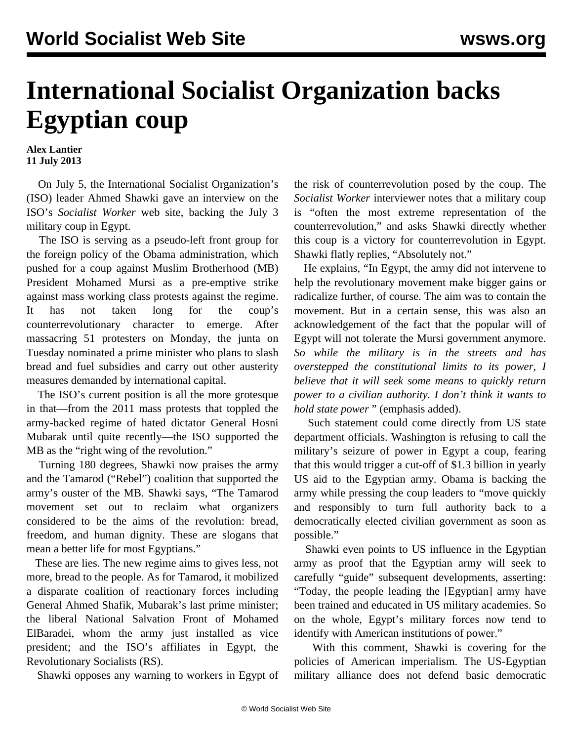## **International Socialist Organization backs Egyptian coup**

**Alex Lantier 11 July 2013**

 On July 5, the International Socialist Organization's (ISO) leader Ahmed Shawki gave an interview on the ISO's *Socialist Worker* web site, backing the July 3 military coup in Egypt.

 The ISO is serving as a pseudo-left front group for the foreign policy of the Obama administration, which pushed for a coup against Muslim Brotherhood (MB) President Mohamed Mursi as a pre-emptive strike against mass working class protests against the regime. It has not taken long for the coup's counterrevolutionary character to emerge. After massacring 51 protesters on Monday, the junta on Tuesday nominated a prime minister who plans to slash bread and fuel subsidies and carry out other austerity measures demanded by international capital.

 The ISO's current position is all the more grotesque in that—from the 2011 mass protests that toppled the army-backed regime of hated dictator General Hosni Mubarak until quite recently—the ISO supported the MB as the "right wing of the revolution."

 Turning 180 degrees, Shawki now praises the army and the Tamarod ("Rebel") coalition that supported the army's ouster of the MB. Shawki says, "The Tamarod movement set out to reclaim what organizers considered to be the aims of the revolution: bread, freedom, and human dignity. These are slogans that mean a better life for most Egyptians."

 These are lies. The new regime aims to gives less, not more, bread to the people. As for Tamarod, it mobilized a disparate coalition of reactionary forces including General Ahmed Shafik, Mubarak's last prime minister; the liberal National Salvation Front of Mohamed ElBaradei, whom the army just installed as vice president; and the ISO's affiliates in Egypt, the Revolutionary Socialists (RS).

Shawki opposes any warning to workers in Egypt of

the risk of counterrevolution posed by the coup. The *Socialist Worker* interviewer notes that a military coup is "often the most extreme representation of the counterrevolution," and asks Shawki directly whether this coup is a victory for counterrevolution in Egypt. Shawki flatly replies, "Absolutely not."

 He explains, "In Egypt, the army did not intervene to help the revolutionary movement make bigger gains or radicalize further, of course. The aim was to contain the movement. But in a certain sense, this was also an acknowledgement of the fact that the popular will of Egypt will not tolerate the Mursi government anymore. *So while the military is in the streets and has overstepped the constitutional limits to its power, I believe that it will seek some means to quickly return power to a civilian authority. I don't think it wants to hold state power* " (emphasis added).

 Such statement could come directly from US state department officials. Washington is refusing to call the military's seizure of power in Egypt a coup, fearing that this would trigger a cut-off of \$1.3 billion in yearly US aid to the Egyptian army. Obama is backing the army while pressing the coup leaders to "move quickly and responsibly to turn full authority back to a democratically elected civilian government as soon as possible."

 Shawki even points to US influence in the Egyptian army as proof that the Egyptian army will seek to carefully "guide" subsequent developments, asserting: "Today, the people leading the [Egyptian] army have been trained and educated in US military academies. So on the whole, Egypt's military forces now tend to identify with American institutions of power."

 With this comment, Shawki is covering for the policies of American imperialism. The US-Egyptian military alliance does not defend basic democratic